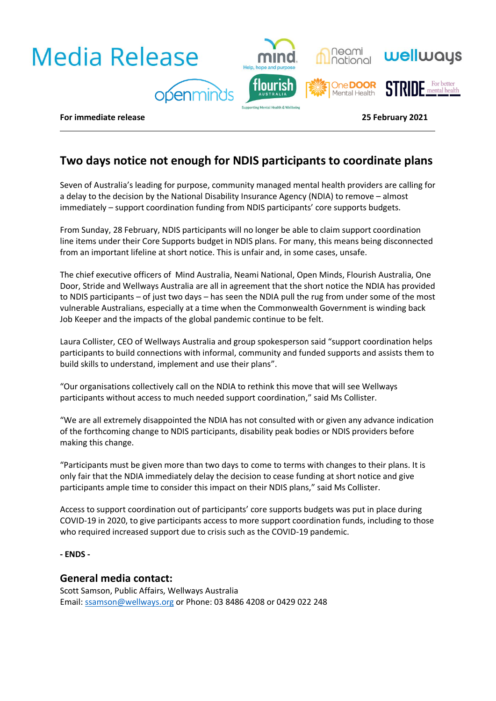

# **Two days notice not enough for NDIS participants to coordinate plans**

Seven of Australia's leading for purpose, community managed mental health providers are calling for a delay to the decision by the National Disability Insurance Agency (NDIA) to remove – almost immediately – support coordination funding from NDIS participants' core supports budgets.

From Sunday, 28 February, NDIS participants will no longer be able to claim support coordination line items under their Core Supports budget in NDIS plans. For many, this means being disconnected from an important lifeline at short notice. This is unfair and, in some cases, unsafe.

The chief executive officers of Mind Australia, Neami National, Open Minds, Flourish Australia, One Door, Stride and Wellways Australia are all in agreement that the short notice the NDIA has provided to NDIS participants – of just two days – has seen the NDIA pull the rug from under some of the most vulnerable Australians, especially at a time when the Commonwealth Government is winding back Job Keeper and the impacts of the global pandemic continue to be felt.

Laura Collister, CEO of Wellways Australia and group spokesperson said "support coordination helps participants to build connections with informal, community and funded supports and assists them to build skills to understand, implement and use their plans".

"Our organisations collectively call on the NDIA to rethink this move that will see Wellways participants without access to much needed support coordination," said Ms Collister.

"We are all extremely disappointed the NDIA has not consulted with or given any advance indication of the forthcoming change to NDIS participants, disability peak bodies or NDIS providers before making this change.

"Participants must be given more than two days to come to terms with changes to their plans. It is only fair that the NDIA immediately delay the decision to cease funding at short notice and give participants ample time to consider this impact on their NDIS plans," said Ms Collister.

Access to support coordination out of participants' core supports budgets was put in place during COVID-19 in 2020, to give participants access to more support coordination funds, including to those who required increased support due to crisis such as the COVID-19 pandemic.

#### **- ENDS -**

### **General media contact:**

Scott Samson, Public Affairs, Wellways Australia Email: [ssamson@wellways.org](mailto:ssamson@wellways.org) or Phone: 03 8486 4208 or 0429 022 248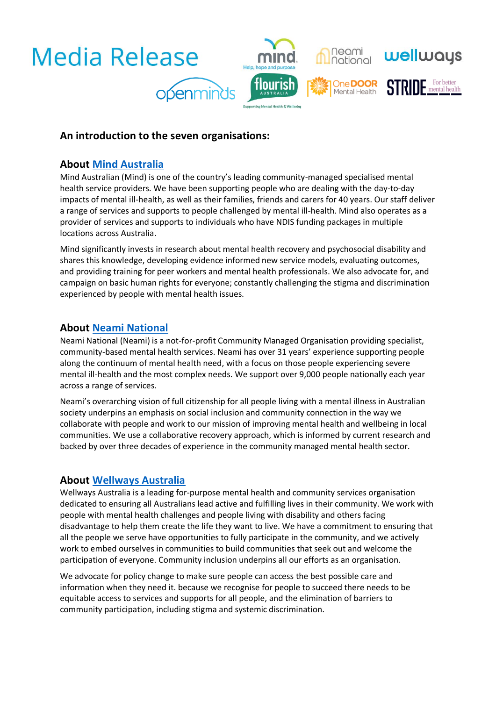

#### **An introduction to the seven organisations:**

#### **About [Mind Australia](https://www.mindaustralia.org.au/)**

Mind Australian (Mind) is one of the country's leading community-managed specialised mental health service providers. We have been supporting people who are dealing with the day-to-day impacts of mental ill-health, as well as their families, friends and carers for 40 years. Our staff deliver a range of services and supports to people challenged by mental ill-health. Mind also operates as a provider of services and supports to individuals who have NDIS funding packages in multiple locations across Australia.

Mind significantly invests in research about mental health recovery and psychosocial disability and shares this knowledge, developing evidence informed new service models, evaluating outcomes, and providing training for peer workers and mental health professionals. We also advocate for, and campaign on basic human rights for everyone; constantly challenging the stigma and discrimination experienced by people with mental health issues.

#### **About [Neami National](https://www.neaminational.org.au/)**

Neami National (Neami) is a not-for-profit Community Managed Organisation providing specialist, community-based mental health services. Neami has over 31 years' experience supporting people along the continuum of mental health need, with a focus on those people experiencing severe mental ill-health and the most complex needs. We support over 9,000 people nationally each year across a range of services.

Neami's overarching vision of full citizenship for all people living with a mental illness in Australian society underpins an emphasis on social inclusion and community connection in the way we collaborate with people and work to our mission of improving mental health and wellbeing in local communities. We use a collaborative recovery approach, which is informed by current research and backed by over three decades of experience in the community managed mental health sector.

### **About [Wellways](https://www.wellways.org/) Australia**

Wellways Australia is a leading for-purpose mental health and community services organisation dedicated to ensuring all Australians lead active and fulfilling lives in their community. We work with people with mental health challenges and people living with disability and others facing disadvantage to help them create the life they want to live. We have a commitment to ensuring that all the people we serve have opportunities to fully participate in the community, and we actively work to embed ourselves in communities to build communities that seek out and welcome the participation of everyone. Community inclusion underpins all our efforts as an organisation.

We advocate for policy change to make sure people can access the best possible care and information when they need it. because we recognise for people to succeed there needs to be equitable access to services and supports for all people, and the elimination of barriers to community participation, including stigma and systemic discrimination.